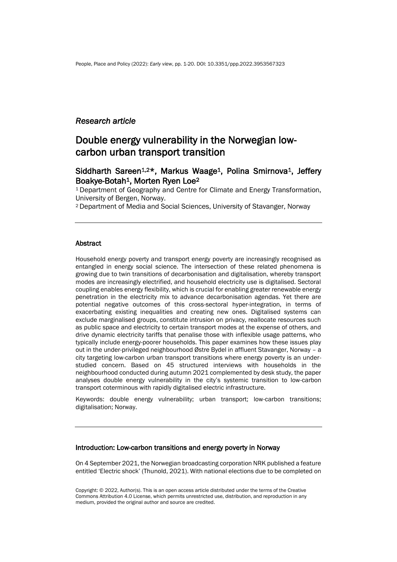### *Research article*

# Double energy vulnerability in the Norwegian lowcarbon urban transport transition

## Siddharth Sareen<sup>1,2\*</sup>, Markus Waage<sup>1</sup>, Polina Smirnova<sup>1</sup>, Jeffery Boakye-Botah1, Morten Ryen Loe<sup>2</sup>

<sup>1</sup>Department of Geography and Centre for Climate and Energy Transformation, University of Bergen, Norway.

<sup>2</sup>Department of Media and Social Sciences, University of Stavanger, Norway

### Abstract

Household energy poverty and transport energy poverty are increasingly recognised as entangled in energy social science. The intersection of these related phenomena is growing due to twin transitions of decarbonisation and digitalisation, whereby transport modes are increasingly electrified, and household electricity use is digitalised. Sectoral coupling enables energy flexibility, which is crucial for enabling greater renewable energy penetration in the electricity mix to advance decarbonisation agendas. Yet there are potential negative outcomes of this cross-sectoral hyper-integration, in terms of exacerbating existing inequalities and creating new ones. Digitalised systems can exclude marginalised groups, constitute intrusion on privacy, reallocate resources such as public space and electricity to certain transport modes at the expense of others, and drive dynamic electricity tariffs that penalise those with inflexible usage patterns, who typically include energy-poorer households. This paper examines how these issues play out in the under-privileged neighbourhood Østre Bydel in affluent Stavanger, Norway – a city targeting low-carbon urban transport transitions where energy poverty is an understudied concern. Based on 45 structured interviews with households in the neighbourhood conducted during autumn 2021 complemented by desk study, the paper analyses double energy vulnerability in the city's systemic transition to low-carbon transport coterminous with rapidly digitalised electric infrastructure.

Keywords: double energy vulnerability; urban transport; low-carbon transitions; digitalisation; Norway.

#### Introduction: Low-carbon transitions and energy poverty in Norway

On 4 September 2021, the Norwegian broadcasting corporation NRK published a feature entitled 'Electric shock' (Thunold, 2021). With national elections due to be completed on

Copyright: © 2022, Author(s). This is an open access article distributed under the terms of the Creative Commons Attribution 4.0 License, which permits unrestricted use, distribution, and reproduction in any medium, provided the original author and source are credited.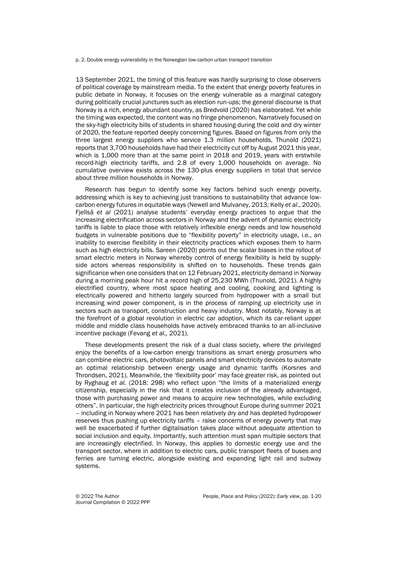p. 2. Double energy vulnerability in the Norwegian low-carbon urban transport transition

13 September 2021, the timing of this feature was hardly surprising to close observers of political coverage by mainstream media. To the extent that energy poverty features in public debate in Norway, it focuses on the energy vulnerable as a marginal category during politically crucial junctures such as election run-ups; the general discourse is that Norway is a rich, energy abundant country, as Bredvold (2020) has elaborated. Yet while the timing was expected, the content was no fringe phenomenon. Narratively focused on the sky-high electricity bills of students in shared housing during the cold and dry winter of 2020, the feature reported deeply concerning figures. Based on figures from only the three largest energy suppliers who service 1.3 million households, Thunold (2021) reports that 3,700 households have had their electricity cut off by August 2021 this year, which is 1,000 more than at the same point in 2018 and 2019, years with erstwhile record-high electricity tariffs, and 2.8 of every 1,000 households on average. No cumulative overview exists across the 130-plus energy suppliers in total that service about three million households in Norway.

Research has begun to identify some key factors behind such energy poverty, addressing which is key to achieving just transitions to sustainability that advance lowcarbon energy futures in equitable ways (Newell and Mulvaney, 2013; Kelly *et al*., 2020). Fjellså *et al* (2021) analyse students' everyday energy practices to argue that the increasing electrification across sectors in Norway and the advent of dynamic electricity tariffs is liable to place those with relatively inflexible energy needs and low household budgets in vulnerable positions due to "flexibility poverty" in electricity usage, i.e., an inability to exercise flexibility in their electricity practices which exposes them to harm such as high electricity bills. Sareen (2020) points out the scalar biases in the rollout of smart electric meters in Norway whereby control of energy flexibility is held by supplyside actors whereas responsibility is shifted on to households. These trends gain significance when one considers that on 12 February 2021, electricity demand in Norway during a morning peak hour hit a record high of 25,230 MWh (Thunold, 2021). A highly electrified country, where most space heating and cooling, cooking and lighting is electrically powered and hitherto largely sourced from hydropower with a small but increasing wind power component, is in the process of ramping up electricity use in sectors such as transport, construction and heavy industry. Most notably, Norway is at the forefront of a global revolution in electric car adoption, which its car-reliant upper middle and middle class households have actively embraced thanks to an all-inclusive incentive package (Fevang *et al.,* 2021).

These developments present the risk of a dual class society, where the privileged enjoy the benefits of a low-carbon energy transitions as smart energy prosumers who can combine electric cars, photovoltaic panels and smart electricity devices to automate an optimal relationship between energy usage and dynamic tariffs (Korsnes and Throndsen, 2021). Meanwhile, the 'flexibility poor' may face greater risk, as pointed out by Ryghaug *et al.* (2018: 298) who reflect upon "the limits of a materialized energy citizenship, especially in the risk that it creates inclusion of the already advantaged, those with purchasing power and means to acquire new technologies, while excluding others". In particular, the high electricity prices throughout Europe during summer 2021 – including in Norway where 2021 has been relatively dry and has depleted hydropower reserves thus pushing up electricity tariffs – raise concerns of energy poverty that may well be exacerbated if further digitalisation takes place without adequate attention to social inclusion and equity. Importantly, such attention must span multiple sectors that are increasingly electrified. In Norway, this applies to domestic energy use and the transport sector, where in addition to electric cars, public transport fleets of buses and ferries are turning electric, alongside existing and expanding light rail and subway systems.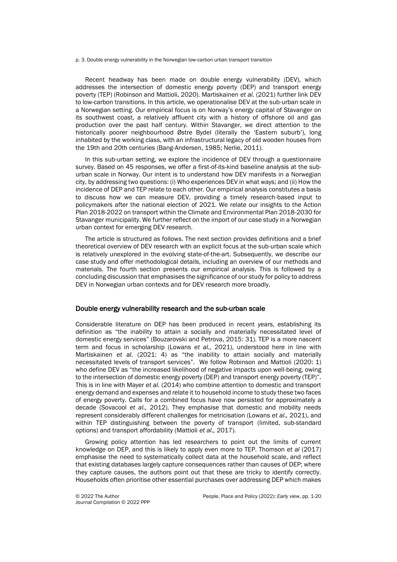p. 3. Double energy vulnerability in the Norwegian low-carbon urban transport transition

Recent headway has been made on double energy vulnerability (DEV), which addresses the intersection of domestic energy poverty (DEP) and transport energy poverty (TEP) (Robinson and Mattioli, 2020). Martiskainen *et al.* (2021) further link DEV to low-carbon transitions. In this article, we operationalise DEV at the sub-urban scale in a Norwegian setting. Our empirical focus is on Norway's energy capital of Stavanger on its southwest coast, a relatively affluent city with a history of offshore oil and gas production over the past half century. Within Stavanger, we direct attention to the historically poorer neighbourhood Østre Bydel (literally the 'Eastern suburb'), long inhabited by the working class, with an infrastructural legacy of old wooden houses from the 19th and 20th centuries (Bang-Andersen, 1985; Nerlie, 2011).

In this sub-urban setting, we explore the incidence of DEV through a questionnaire survey. Based on 45 responses, we offer a first-of-its-kind baseline analysis at the suburban scale in Norway. Our intent is to understand how DEV manifests in a Norwegian city, by addressing two questions: (i) Who experiences DEV in what ways; and (ii) How the incidence of DEP and TEP relate to each other. Our empirical analysis constitutes a basis to discuss how we can measure DEV, providing a timely research-based input to policymakers after the national election of 2021. We relate our insights to the Action Plan 2018-2022 on transport within the Climate and Environmental Plan 2018-2030 for Stavanger municipality. We further reflect on the import of our case study in a Norwegian urban context for emerging DEV research.

The article is structured as follows. The next section provides definitions and a brief theoretical overview of DEV research with an explicit focus at the sub-urban scale which is relatively unexplored in the evolving state-of-the-art. Subsequently, we describe our case study and offer methodological details, including an overview of our methods and materials. The fourth section presents our empirical analysis. This is followed by a concluding discussion that emphasises the significance of our study for policy to address DEV in Norwegian urban contexts and for DEV research more broadly.

#### Double energy vulnerability research and the sub-urban scale

Considerable literature on DEP has been produced in recent years, establishing its definition as "the inability to attain a socially and materially necessitated level of domestic energy services" (Bouzarovski and Petrova, 2015: 31). TEP is a more nascent term and focus in scholarship (Lowans *et al.,* 2021), understood here in line with Martiskainen *et al.* (2021: 4) as "the inability to attain socially and materially necessitated levels of transport services". We follow Robinson and Mattioli (2020: 1) who define DEV as "the increased likelihood of negative impacts upon well-being, owing to the intersection of domestic energy poverty (DEP) and transport energy poverty (TEP)". This is in line with Mayer *et al.* (2014) who combine attention to domestic and transport energy demand and expenses and relate it to household income to study these two faces of energy poverty. Calls for a combined focus have now persisted for approximately a decade (Sovacool *et al.,* 2012). They emphasise that domestic and mobility needs represent considerably different challenges for metricisation (Lowans *et al.,* 2021), and within TEP distinguishing between the poverty of transport (limited, sub-standard options) and transport affordability (Mattioli *et al.,* 2017).

Growing policy attention has led researchers to point out the limits of current knowledge on DEP, and this is likely to apply even more to TEP. Thomson *et al* (2017) emphasise the need to systematically collect data at the household scale, and reflect that existing databases largely capture consequences rather than causes of DEP; where they capture causes, the authors point out that these are tricky to identify correctly. Households often prioritise other essential purchases over addressing DEP which makes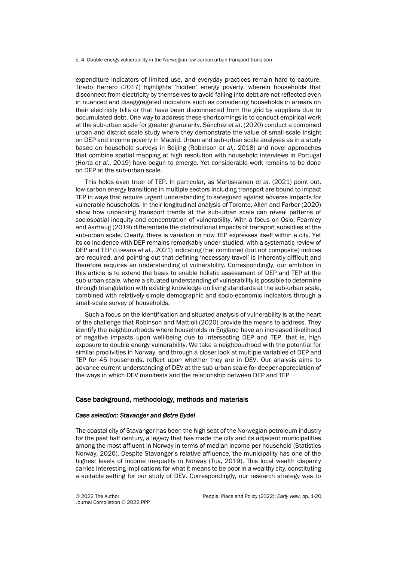p. 4. Double energy vulnerability in the Norwegian low-carbon urban transport transition

expenditure indicators of limited use, and everyday practices remain hard to capture. Tirado Herrero (2017) highlights 'hidden' energy poverty, wherein households that disconnect from electricity by themselves to avoid falling into debt are not reflected even in nuanced and disaggregated indicators such as considering households in arrears on their electricity bills or that have been disconnected from the grid by suppliers due to accumulated debt. One way to address these shortcomings is to conduct empirical work at the sub-urban scale for greater granularity. Sánchez *et al*. (2020) conduct a combined urban and district scale study where they demonstrate the value of small-scale insight on DEP and income poverty in Madrid. Urban and sub-urban scale analyses as in a study based on household surveys in Beijing (Robinson *et al.,* 2018) and novel approaches that combine spatial mapping at high resolution with household interviews in Portugal (Horta *et al*., 2019) have begun to emerge. Yet considerable work remains to be done on DEP at the sub-urban scale.

This holds even truer of TEP. In particular, as Martiskainen *et al*. (2021) point out, low-carbon energy transitions in multiple sectors including transport are bound to impact TEP in ways that require urgent understanding to safeguard against adverse impacts for vulnerable households. In their longitudinal analysis of Toronto, Allen and Farber (2020) show how unpacking transport trends at the sub-urban scale can reveal patterns of sociospatial inequity and concentration of vulnerability. With a focus on Oslo, Fearnley and Aarhaug (2019) differentiate the distributional impacts of transport subsidies at the sub-urban scale. Clearly, there is variation in how TEP expresses itself within a city. Yet its co-incidence with DEP remains remarkably under-studied, with a systematic review of DEP and TEP (Lowans *et al*., 2021) indicating that combined (but not composite) indices are required, and pointing out that defining 'necessary travel' is inherently difficult and therefore requires an understanding of vulnerability. Correspondingly, our ambition in this article is to extend the basis to enable holistic assessment of DEP and TEP at the sub-urban scale, where a situated understanding of vulnerability is possible to determine through triangulation with existing knowledge on living standards at the sub-urban scale, combined with relatively simple demographic and socio-economic indicators through a small-scale survey of households.

Such a focus on the identification and situated analysis of vulnerability is at the heart of the challenge that Robinson and Mattioli (2020) provide the means to address. They identify the neighbourhoods where households in England have an increased likelihood of negative impacts upon well-being due to intersecting DEP and TEP, that is, high exposure to double energy vulnerability. We take a neighbourhood with the potential for similar proclivities in Norway, and through a closer look at multiple variables of DEP and TEP for 45 households, reflect upon whether they are in DEV. Our analysis aims to advance current understanding of DEV at the sub-urban scale for deeper appreciation of the ways in which DEV manifests and the relationship between DEP and TEP.

#### Case background, methodology, methods and materials

#### *Case selection: Stavanger and Østre Bydel*

The coastal city of Stavanger has been the high seat of the Norwegian petroleum industry for the past half century, a legacy that has made the city and its adjacent municipalities among the most affluent in Norway in terms of median income per household (Statistics Norway, 2020). Despite Stavanger's relative affluence, the municipality has one of the highest levels of income inequality in Norway (Tuv, 2019). This local wealth disparity carries interesting implications for what it means to be poor in a wealthy city, constituting a suitable setting for our study of DEV. Correspondingly, our research strategy was to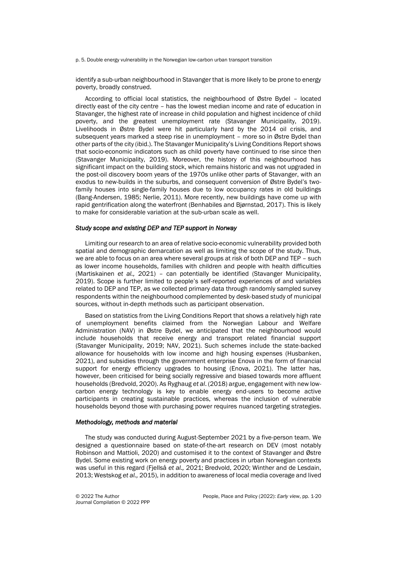p. 5. Double energy vulnerability in the Norwegian low-carbon urban transport transition

identify a sub-urban neighbourhood in Stavanger that is more likely to be prone to energy poverty, broadly construed.

According to official local statistics, the neighbourhood of Østre Bydel – located directly east of the city centre – has the lowest median income and rate of education in Stavanger, the highest rate of increase in child population and highest incidence of child poverty, and the greatest unemployment rate (Stavanger Municipality, 2019). Livelihoods in Østre Bydel were hit particularly hard by the 2014 oil crisis, and subsequent years marked a steep rise in unemployment – more so in Østre Bydel than other parts of the city (ibid.). The Stavanger Municipality's Living Conditions Report shows that socio-economic indicators such as child poverty have continued to rise since then (Stavanger Municipality, 2019). Moreover, the history of this neighbourhood has significant impact on the building stock, which remains historic and was not upgraded in the post-oil discovery boom years of the 1970s unlike other parts of Stavanger, with an exodus to new-builds in the suburbs, and consequent conversion of Østre Bydel's twofamily houses into single-family houses due to low occupancy rates in old buildings (Bang-Andersen, 1985; Nerlie, 2011). More recently, new buildings have come up with rapid gentrification along the waterfront (Benhabiles and Bjørnstad, 2017). This is likely to make for considerable variation at the sub-urban scale as well.

#### *Study scope and existing DEP and TEP support in Norway*

Limiting our research to an area of relative socio-economic vulnerability provided both spatial and demographic demarcation as well as limiting the scope of the study. Thus, we are able to focus on an area where several groups at risk of both DEP and TEP – such as lower income households, families with children and people with health difficulties (Martiskainen *et al.,* 2021) – can potentially be identified (Stavanger Municipality, 2019). Scope is further limited to people's self-reported experiences of and variables related to DEP and TEP, as we collected primary data through randomly sampled survey respondents within the neighbourhood complemented by desk-based study of municipal sources, without in-depth methods such as participant observation.

Based on statistics from the Living Conditions Report that shows a relatively high rate of unemployment benefits claimed from the Norwegian Labour and Welfare Administration (NAV) in Østre Bydel, we anticipated that the neighbourhood would include households that receive energy and transport related financial support (Stavanger Municipality, 2019; NAV, 2021). Such schemes include the state-backed allowance for households with low income and high housing expenses (Husbanken, 2021), and subsidies through the government enterprise Enova in the form of financial support for energy efficiency upgrades to housing (Enova, 2021). The latter has, however, been criticised for being socially regressive and biased towards more affluent households (Bredvold, 2020). As Ryghaug *et al*. (2018) argue, engagement with new lowcarbon energy technology is key to enable energy end-users to become active participants in creating sustainable practices, whereas the inclusion of vulnerable households beyond those with purchasing power requires nuanced targeting strategies.

#### *Methodology, methods and material*

The study was conducted during August-September 2021 by a five-person team. We designed a questionnaire based on state-of-the-art research on DEV (most notably Robinson and Mattioli, 2020) and customised it to the context of Stavanger and Østre Bydel. Some existing work on energy poverty and practices in urban Norwegian contexts was useful in this regard (Fjellså *et al.,* 2021; Bredvold, 2020; Winther and de Lesdain, 2013; Westskog *et al.,* 2015), in addition to awareness of local media coverage and lived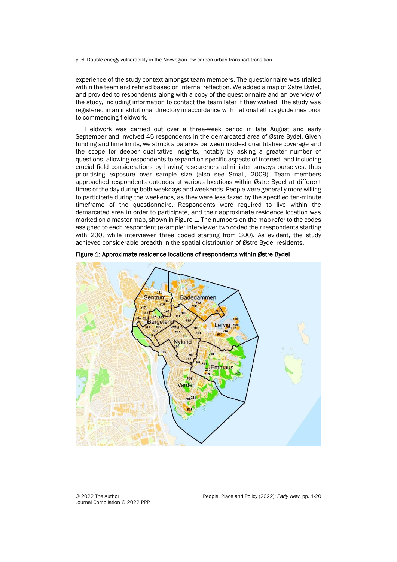p. 6. Double energy vulnerability in the Norwegian low-carbon urban transport transition

experience of the study context amongst team members. The questionnaire was trialled within the team and refined based on internal reflection. We added a map of Østre Bydel, and provided to respondents along with a copy of the questionnaire and an overview of the study, including information to contact the team later if they wished. The study was registered in an institutional directory in accordance with national ethics guidelines prior to commencing fieldwork.

Fieldwork was carried out over a three-week period in late August and early September and involved 45 respondents in the demarcated area of Østre Bydel. Given funding and time limits, we struck a balance between modest quantitative coverage and the scope for deeper qualitative insights, notably by asking a greater number of questions, allowing respondents to expand on specific aspects of interest, and including crucial field considerations by having researchers administer surveys ourselves, thus prioritising exposure over sample size (also see Small, 2009). Team members approached respondents outdoors at various locations within Østre Bydel at different times of the day during both weekdays and weekends. People were generally more willing to participate during the weekends, as they were less fazed by the specified ten-minute timeframe of the questionnaire. Respondents were required to live within the demarcated area in order to participate, and their approximate residence location was marked on a master map, shown in Figure 1. The numbers on the map refer to the codes assigned to each respondent (example: interviewer two coded their respondents starting with 200, while interviewer three coded starting from 300). As evident, the study achieved considerable breadth in the spatial distribution of Østre Bydel residents.



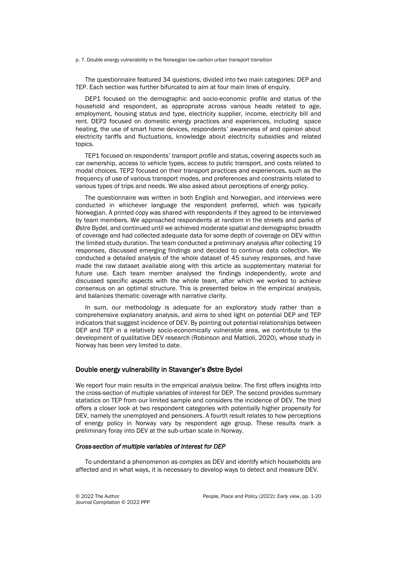p. 7. Double energy vulnerability in the Norwegian low-carbon urban transport transition

The questionnaire featured 34 questions, divided into two main categories: DEP and TEP. Each section was further bifurcated to aim at four main lines of enquiry.

DEP1 focused on the demographic and socio-economic profile and status of the household and respondent, as appropriate across various heads related to age, employment, housing status and type, electricity supplier, income, electricity bill and rent. DEP2 focused on domestic energy practices and experiences, including space heating, the use of smart home devices, respondents' awareness of and opinion about electricity tariffs and fluctuations, knowledge about electricity subsidies and related topics.

TEP1 focused on respondents' transport profile and status, covering aspects such as car ownership, access to vehicle types, access to public transport, and costs related to modal choices. TEP2 focused on their transport practices and experiences, such as the frequency of use of various transport modes, and preferences and constraints related to various types of trips and needs. We also asked about perceptions of energy policy.

The questionnaire was written in both English and Norwegian, and interviews were conducted in whichever language the respondent preferred, which was typically Norwegian. A printed copy was shared with respondents if they agreed to be interviewed by team members. We approached respondents at random in the streets and parks of Østre Bydel, and continued until we achieved moderate spatial and demographic breadth of coverage and had collected adequate data for some depth of coverage on DEV within the limited study duration. The team conducted a preliminary analysis after collecting 19 responses, discussed emerging findings and decided to continue data collection. We conducted a detailed analysis of the whole dataset of 45 survey responses, and have made the raw dataset available along with this article as supplementary material for future use. Each team member analysed the findings independently, wrote and discussed specific aspects with the whole team, after which we worked to achieve consensus on an optimal structure. This is presented below in the empirical analysis, and balances thematic coverage with narrative clarity.

In sum, our methodology is adequate for an exploratory study rather than a comprehensive explanatory analysis, and aims to shed light on potential DEP and TEP indicators that suggest incidence of DEV. By pointing out potential relationships between DEP and TEP in a relatively socio-economically vulnerable area, we contribute to the development of qualitative DEV research (Robinson and Mattioli, 2020), whose study in Norway has been very limited to date.

#### Double energy vulnerability in Stavanger's Østre Bydel

We report four main results in the empirical analysis below. The first offers insights into the cross-section of multiple variables of interest for DEP. The second provides summary statistics on TEP from our limited sample and considers the incidence of DEV. The third offers a closer look at two respondent categories with potentially higher propensity for DEV, namely the unemployed and pensioners. A fourth result relates to how perceptions of energy policy in Norway vary by respondent age group. These results mark a preliminary foray into DEV at the sub-urban scale in Norway.

#### *Cross-section of multiple variables of interest for DEP*

To understand a phenomenon as complex as DEV and identify which households are affected and in what ways, it is necessary to develop ways to detect and measure DEV.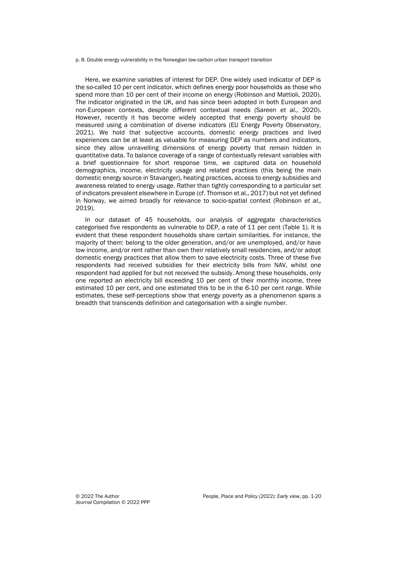#### p. 8. Double energy vulnerability in the Norwegian low-carbon urban transport transition

Here, we examine variables of interest for DEP. One widely used indicator of DEP is the so-called 10 per cent indicator, which defines energy poor households as those who spend more than 10 per cent of their income on energy (Robinson and Mattioli, 2020). The indicator originated in the UK, and has since been adopted in both European and non-European contexts, despite different contextual needs (Sareen *et al.,* 2020). However, recently it has become widely accepted that energy poverty should be measured using a combination of diverse indicators (EU Energy Poverty Observatory, 2021). We hold that subjective accounts, domestic energy practices and lived experiences can be at least as valuable for measuring DEP as numbers and indicators, since they allow unravelling dimensions of energy poverty that remain hidden in quantitative data. To balance coverage of a range of contextually relevant variables with a brief questionnaire for short response time, we captured data on household demographics, income, electricity usage and related practices (this being the main domestic energy source in Stavanger), heating practices, access to energy subsidies and awareness related to energy usage. Rather than tightly corresponding to a particular set of indicators prevalent elsewhere in Europe (cf. Thomson et al., 2017) but not yet defined in Norway, we aimed broadly for relevance to socio-spatial context (Robinson *et al.,* 2019).

In our dataset of 45 households, our analysis of aggregate characteristics categorised five respondents as vulnerable to DEP, a rate of 11 per cent (Table 1). It is evident that these respondent households share certain similarities. For instance, the majority of them: belong to the older generation, and/or are unemployed, and/or have low income, and/or rent rather than own their relatively small residencies, and/or adopt domestic energy practices that allow them to save electricity costs. Three of these five respondents had received subsidies for their electricity bills from NAV, whilst one respondent had applied for but not received the subsidy. Among these households, only one reported an electricity bill exceeding 10 per cent of their monthly income, three estimated 10 per cent, and one estimated this to be in the 6-10 per cent range. While estimates, these self-perceptions show that energy poverty as a phenomenon spans a breadth that transcends definition and categorisation with a single number.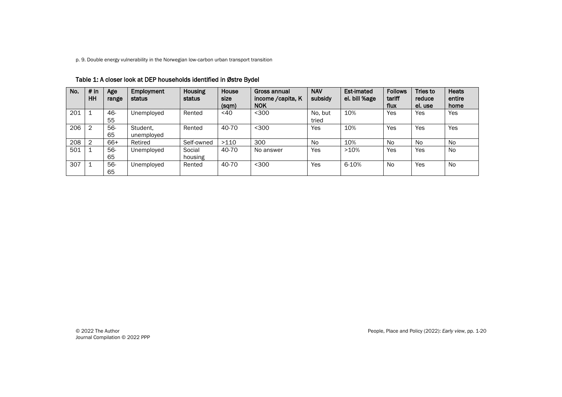p. 9. Double energy vulnerability in the Norwegian low-carbon urban transport transition

| No. | # in<br>HH | Age<br>range | Employment<br>status   | <b>Housing</b><br>status | House<br>size<br>(sqm) | Gross annual<br>income / capita, K<br><b>NOK</b> | <b>NAV</b><br>subsidy | <b>Est-imated</b><br>el. bill %age | <b>Follows</b><br>tariff<br>flux | Tries to<br>reduce<br>el. use | <b>Heats</b><br>entire<br>home |
|-----|------------|--------------|------------------------|--------------------------|------------------------|--------------------------------------------------|-----------------------|------------------------------------|----------------------------------|-------------------------------|--------------------------------|
| 201 |            | 46-<br>55    | Unemployed             | Rented                   | $<$ 40                 | $300$                                            | No, but<br>tried      | 10%                                | Yes                              | <b>Yes</b>                    | Yes                            |
| 206 | 2          | 56-<br>65    | Student,<br>unemployed | Rented                   | 40-70                  | $300$                                            | Yes                   | 10%                                | Yes                              | Yes                           | Yes                            |
| 208 | 2          | 66+          | Retired                | Self-owned               | >110                   | 300                                              | <b>No</b>             | 10%                                | No.                              | N <sub>0</sub>                | <b>No</b>                      |
| 501 |            | 56-<br>65    | Unemployed             | Social<br>housing        | 40-70                  | No answer                                        | Yes                   | >10%                               | Yes                              | Yes                           | <b>No</b>                      |
| 307 |            | 56-<br>65    | Unemployed             | Rented                   | 40-70                  | $300$                                            | Yes                   | 6-10%                              | <b>No</b>                        | Yes                           | <b>No</b>                      |

### Table 1: A closer look at DEP households identified in Østre Bydel

Journal Compilation © 2022 PPP

© 2022 The Author People, Place and Policy (2022): *Early view*, pp. 1-20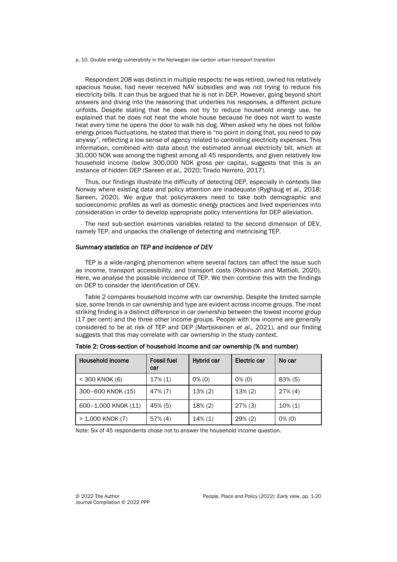p. 10. Double energy vulnerability in the Norwegian low-carbon urban transport transition

Respondent 208 was distinct in multiple respects: he was retired, owned his relatively spacious house, had never received NAV subsidies and was not trying to reduce his electricity bills. It can thus be argued that he is not in DEP. However, going beyond short answers and diving into the reasoning that underlies his responses, a different picture unfolds. Despite stating that he does not try to reduce household energy use, he explained that he does not heat the whole house because he does not want to waste heat every time he opens the door to walk his dog. When asked why he does not follow energy prices fluctuations, he stated that there is "no point in doing that, you need to pay anyway", reflecting a low sense of agency related to controlling electricity expenses. This information, combined with data about the estimated annual electricity bill, which at 30,000 NOK was among the highest among all 45 respondents, and given relatively low household income (below 300,000 NOK gross per capita), suggests that this is an instance of hidden DEP (Sareen *et al.,* 2020; Tirado Herrero, 2017).

Thus, our findings illustrate the difficulty of detecting DEP, especially in contexts like Norway where existing data and policy attention are inadequate (Ryghaug *et al.,* 2018; Sareen, 2020). We argue that policymakers need to take both demographic and socioeconomic profiles as well as domestic energy practices and lived experiences into consideration in order to develop appropriate policy interventions for DEP alleviation.

The next sub-section examines variables related to the second dimension of DEV, namely TEP, and unpacks the challenge of detecting and metricising TEP.

#### *Summary statistics on TEP and incidence of DEV*

TEP is a wide-ranging phenomenon where several factors can affect the issue such as income, transport accessibility, and transport costs (Robinson and Mattioli, 2020). Here, we analyse the possible incidence of TEP. We then combine this with the findings on DEP to consider the identification of DEV.

Table 2 compares household income with car ownership. Despite the limited sample size, some trends in car ownership and type are evident across income groups. The most striking finding is a distinct difference in car ownership between the lowest income group (17 per cent) and the three other income groups. People with low income are generally considered to be at risk of TEP and DEP (Martiskainen *et al.,* 2021), and our finding suggests that this may correlate with car ownership in the study context.

| Household income    | <b>Fossil fuel</b><br>car | Hybrid car | Electric car | No car     |  |
|---------------------|---------------------------|------------|--------------|------------|--|
| $<$ 300 KNOK (6)    | $17\%$ (1)                | $0\%$ (0)  | $0\%$ (0)    | $83\%$ (5) |  |
| 300-600 KNOK (15)   | 47% (7)                   | $13\%$ (2) | $13\%$ (2)   | $27\%$ (4) |  |
| 600-1,000 KNOK (11) | 45% (5)                   | $18\%$ (2) | $27\%$ (3)   | $10\%$ (1) |  |
| $> 1,000$ KNOK (7)  | $57\%$ (4)                | $14\%$ (1) | $29\%$ (2)   | $0\%$ (0)  |  |

Table 2: Cross-section of household income and car ownership (% and number)

Note: Six of 45 respondents chose not to answer the household income question.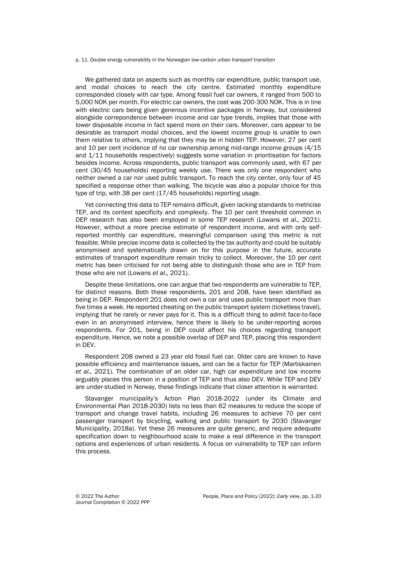p. 11. Double energy vulnerability in the Norwegian low-carbon urban transport transition

We gathered data on aspects such as monthly car expenditure, public transport use, and modal choices to reach the city centre. Estimated monthly expenditure corresponded closely with car type. Among fossil fuel car owners, it ranged from 500 to 5,000 NOK per month. For electric car owners, the cost was 200-300 NOK. This is in line with electric cars being given generous incentive packages in Norway, but considered alongside correpondence between income and car type trends, implies that those with lower disposable income in fact spend more on their cars. Moreover, cars appear to be desirable as transport modal choices, and the lowest income group is unable to own them relative to others, implying that they may be in hidden TEP. However, 27 per cent and 10 per cent incidence of no car ownership among mid-range income groups (4/15 and 1/11 households respectively) suggests some variation in prioritisation for factors besides income. Across respondents, public transport was commonly used, with 67 per cent (30/45 households) reporting weekly use. There was only one respondent who neither owned a car nor used public transport. To reach the city center, only four of 45 specified a response other than walking. The bicycle was also a popular choice for this type of trip, with 38 per cent (17/45 households) reporting usage.

Yet connecting this data to TEP remains difficult, given lacking standards to metricise TEP, and its context specificity and complexity. The 10 per cent threshold common in DEP research has also been employed in some TEP research (Lowans *et al.,* 2021). However, without a more precise estimate of respondent income, and with only selfreported monthly car expenditure, meaningful comparison using this metric is not feasible. While precise income data is collected by the tax authority and could be suitably anonymised and systematically drawn on for this purpose in the future, accurate estimates of transport expenditure remain tricky to collect. Moreover, the 10 per cent metric has been criticised for not being able to distinguish those who are in TEP from those who are not (Lowans *et al.,* 2021).

Despite these limitations, one can argue that two respondents are vulnerable to TEP, for distinct reasons. Both these respondents, 201 and 208, have been identified as being in DEP. Respondent 201 does not own a car and uses public transport more than five times a week. He reported cheating on the public transport system (ticketless travel), implying that he rarely or never pays for it. This is a difficult thing to admit face-to-face even in an anonymised interview, hence there is likely to be under-reporting across respondents. For 201, being in DEP could affect his choices regarding transport expenditure. Hence, we note a possible overlap of DEP and TEP, placing this respondent in DEV.

Respondent 208 owned a 23 year old fossil fuel car. Older cars are known to have possible efficiency and maintenance issues, and can be a factor for TEP (Martiskainen *et al.,* 2021). The combination of an older car, high car expenditure and low income arguably places this person in a position of TEP and thus also DEV. While TEP and DEV are under-studied in Norway, these findings indicate that closer attention is warranted.

Stavanger municipality's Action Plan 2018-2022 (under its Climate and Environmental Plan 2018-2030) lists no less than 62 measures to reduce the scope of transport and change travel habits, including 26 measures to achieve 70 per cent passenger transport by bicycling, walking and public transport by 2030 (Stavanger Municipality, 2018a). Yet these 26 measures are quite generic, and require adequate specification down to neighbourhood scale to make a real difference in the transport options and experiences of urban residents. A focus on vulnerability to TEP can inform this process.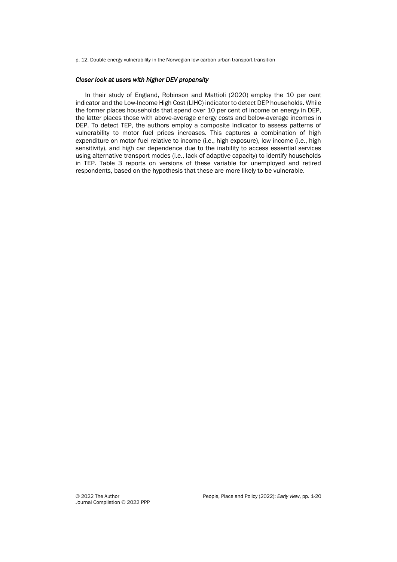p. 12. Double energy vulnerability in the Norwegian low-carbon urban transport transition

### *Closer look at users with higher DEV propensity*

In their study of England, Robinson and Mattioli (2020) employ the 10 per cent indicator and the Low-Income High Cost (LIHC) indicator to detect DEP households. While the former places households that spend over 10 per cent of income on energy in DEP, the latter places those with above-average energy costs and below-average incomes in DEP. To detect TEP, the authors employ a composite indicator to assess patterns of vulnerability to motor fuel prices increases. This captures a combination of high expenditure on motor fuel relative to income (i.e., high exposure), low income (i.e., high sensitivity), and high car dependence due to the inability to access essential services using alternative transport modes (i.e., lack of adaptive capacity) to identify households in TEP. Table 3 reports on versions of these variable for unemployed and retired respondents, based on the hypothesis that these are more likely to be vulnerable.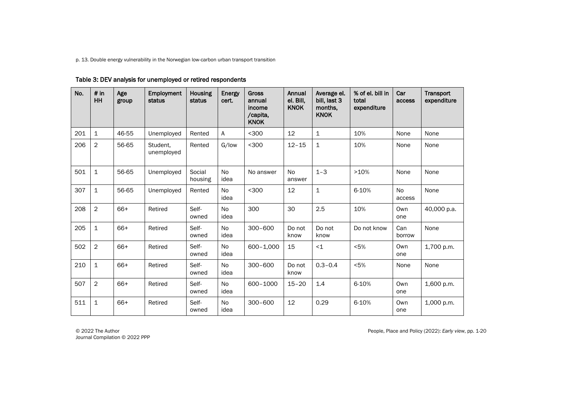p. 13. Double energy vulnerability in the Norwegian low-carbon urban transport transition

| No. | # in<br>HH     | Age<br>group | Employment<br>status   | Housing<br>status | Energy<br>cert.   | <b>Gross</b><br>annual<br>income<br>/capita,<br><b>KNOK</b> | Annual<br>el. Bill,<br><b>KNOK</b> | Average el.<br>bill, last 3<br>months,<br><b>KNOK</b> | % of el. bill in<br>total<br>expenditure | Car<br>access       | Transport<br>expenditure |
|-----|----------------|--------------|------------------------|-------------------|-------------------|-------------------------------------------------------------|------------------------------------|-------------------------------------------------------|------------------------------------------|---------------------|--------------------------|
| 201 | $\mathbf{1}$   | 46-55        | Unemployed             | Rented            | A                 | $300$                                                       | 12                                 | $\mathbf{1}$                                          | 10%                                      | None                | None                     |
| 206 | $\overline{2}$ | 56-65        | Student.<br>unemployed | Rented            | G/low             | $300$                                                       | $12 - 15$                          | $\mathbf{1}$                                          | 10%                                      | None                | None                     |
| 501 | $\mathbf{1}$   | 56-65        | Unemployed             | Social<br>housing | <b>No</b><br>idea | No answer                                                   | <b>No</b><br>answer                | $1 - 3$                                               | >10%                                     | None                | None                     |
| 307 | $\mathbf{1}$   | 56-65        | Unemployed             | Rented            | <b>No</b><br>idea | $300$                                                       | 12                                 | $\mathbf{1}$                                          | 6-10%                                    | <b>No</b><br>access | None                     |
| 208 | $\overline{2}$ | 66+          | Retired                | Self-<br>owned    | No<br>idea        | 300                                                         | 30                                 | 2.5                                                   | 10%                                      | Own<br>one          | 40,000 p.a.              |
| 205 | $\mathbf{1}$   | 66+          | Retired                | Self-<br>owned    | No<br>idea        | $300 - 600$                                                 | Do not<br>know                     | Do not<br>know                                        | Do not know                              | Can<br>borrow       | None                     |
| 502 | $\overline{c}$ | 66+          | Retired                | Self-<br>owned    | No<br>idea        | $600 - 1,000$                                               | 15                                 | ~1                                                    | < 5%                                     | Own<br>one          | 1,700 p.m.               |
| 210 | $\mathbf{1}$   | 66+          | Retired                | Self-<br>owned    | <b>No</b><br>idea | $300 - 600$                                                 | Do not<br>know                     | $0.3 - 0.4$                                           | < 5%                                     | None                | None                     |
| 507 | $\overline{2}$ | 66+          | Retired                | Self-<br>owned    | No<br>idea        | 600-1000                                                    | $15 - 20$                          | 1.4                                                   | 6-10%                                    | Own<br>one          | 1,600 p.m.               |
| 511 | $\mathbf 1$    | 66+          | Retired                | Self-<br>owned    | No<br>idea        | $300 - 600$                                                 | 12                                 | 0.29                                                  | 6-10%                                    | Own<br>one          | 1,000 p.m.               |

## Table 3: DEV analysis for unemployed or retired respondents

Journal Compilation © 2022 PPP

© 2022 The Author People, Place and Policy (2022): *Early view*, pp. 1-20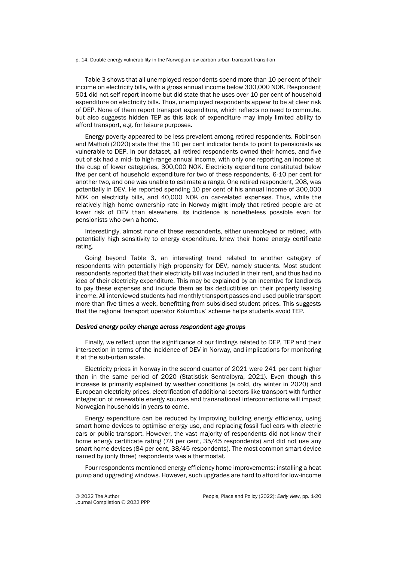p. 14. Double energy vulnerability in the Norwegian low-carbon urban transport transition

Table 3 shows that all unemployed respondents spend more than 10 per cent of their income on electricity bills, with a gross annual income below 300,000 NOK. Respondent 501 did not self-report income but did state that he uses over 10 per cent of household expenditure on electricity bills. Thus, unemployed respondents appear to be at clear risk of DEP. None of them report transport expenditure, which reflects no need to commute, but also suggests hidden TEP as this lack of expenditure may imply limited ability to afford transport, e.g. for leisure purposes.

Energy poverty appeared to be less prevalent among retired respondents. Robinson and Mattioli (2020) state that the 10 per cent indicator tends to point to pensionists as vulnerable to DEP. In our dataset, all retired respondents owned their homes, and five out of six had a mid- to high-range annual income, with only one reporting an income at the cusp of lower categories, 300,000 NOK. Electricity expenditure constituted below five per cent of household expenditure for two of these respondents, 6-10 per cent for another two, and one was unable to estimate a range. One retired respondent, 208, was potentially in DEV. He reported spending 10 per cent of his annual income of 300,000 NOK on electricity bills, and 40,000 NOK on car-related expenses. Thus, while the relatively high home ownership rate in Norway might imply that retired people are at lower risk of DEV than elsewhere, its incidence is nonetheless possible even for pensionists who own a home.

Interestingly, almost none of these respondents, either unemployed or retired, with potentially high sensitivity to energy expenditure, knew their home energy certificate rating.

Going beyond Table 3, an interesting trend related to another category of respondents with potentially high propensity for DEV, namely students. Most student respondents reported that their electricity bill was included in their rent, and thus had no idea of their electricity expenditure. This may be explained by an incentive for landlords to pay these expenses and include them as tax deductibles on their property leasing income. All interviewed students had monthly transport passes and used public transport more than five times a week, benefitting from subsidised student prices. This suggests that the regional transport operator Kolumbus' scheme helps students avoid TEP.

#### *Desired energy policy change across respondent age groups*

Finally, we reflect upon the significance of our findings related to DEP, TEP and their intersection in terms of the incidence of DEV in Norway, and implications for monitoring it at the sub-urban scale.

Electricity prices in Norway in the second quarter of 2021 were 241 per cent higher than in the same period of 2020 (Statistisk Sentralbyrå, 2021). Even though this increase is primarily explained by weather conditions (a cold, dry winter in 2020) and European electricity prices, electrification of additional sectors like transport with further integration of renewable energy sources and transnational interconnections will impact Norwegian households in years to come.

Energy expenditure can be reduced by improving building energy efficiency, using smart home devices to optimise energy use, and replacing fossil fuel cars with electric cars or public transport. However, the vast majority of respondents did not know their home energy certificate rating (78 per cent, 35/45 respondents) and did not use any smart home devices (84 per cent, 38/45 respondents). The most common smart device named by (only three) respondents was a thermostat.

Four respondents mentioned energy efficiency home improvements: installing a heat pump and upgrading windows. However, such upgrades are hard to afford for low-income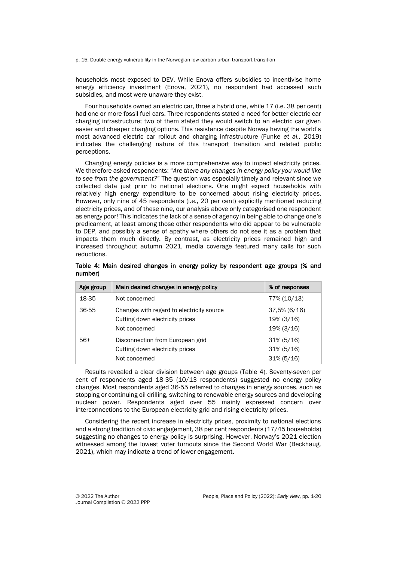p. 15. Double energy vulnerability in the Norwegian low-carbon urban transport transition

households most exposed to DEV. While Enova offers subsidies to incentivise home energy efficiency investment (Enova, 2021), no respondent had accessed such subsidies, and most were unaware they exist.

Four households owned an electric car, three a hybrid one, while 17 (i.e. 38 per cent) had one or more fossil fuel cars. Three respondents stated a need for better electric car charging infrastructure; two of them stated they would switch to an electric car given easier and cheaper charging options. This resistance despite Norway having the world's most advanced electric car rollout and charging infrastructure (Funke *et al.,* 2019) indicates the challenging nature of this transport transition and related public perceptions.

Changing energy policies is a more comprehensive way to impact electricity prices. We therefore asked respondents: "*Are there any changes in energy policy you would like to see from the government?*" The question was especially timely and relevant since we collected data just prior to national elections. One might expect households with relatively high energy expenditure to be concerned about rising electricity prices. However, only nine of 45 respondents (i.e., 20 per cent) explicitly mentioned reducing electricity prices, and of these nine, our analysis above only categorised one respondent as energy poor! This indicates the lack of a sense of agency in being able to change one's predicament, at least among those other respondents who did appear to be vulnerable to DEP, and possibly a sense of apathy where others do not see it as a problem that impacts them much directly. By contrast, as electricity prices remained high and increased throughout autumn 2021, media coverage featured many calls for such reductions.

| Age group | Main desired changes in energy policy                                                         | % of responses                                    |  |  |
|-----------|-----------------------------------------------------------------------------------------------|---------------------------------------------------|--|--|
| 18-35     | Not concerned                                                                                 | 77% (10/13)                                       |  |  |
| 36-55     | Changes with regard to electricity source<br>Cutting down electricity prices<br>Not concerned | $37,5\%$ (6/16)<br>$19\% (3/16)$<br>$19\%$ (3/16) |  |  |
| $56+$     | Disconnection from European grid<br>Cutting down electricity prices<br>Not concerned          | $31\% (5/16)$<br>$31\% (5/16)$<br>$31\% (5/16)$   |  |  |

Table 4: Main desired changes in energy policy by respondent age groups (% and number)

Results revealed a clear division between age groups (Table 4). Seventy-seven per cent of respondents aged 18-35 (10/13 respondents) suggested no energy policy changes. Most respondents aged 36-55 referred to changes in energy sources, such as stopping or continuing oil drilling, switching to renewable energy sources and developing nuclear power. Respondents aged over 55 mainly expressed concern over interconnections to the European electricity grid and rising electricity prices.

Considering the recent increase in electricity prices, proximity to national elections and a strong tradition of civic engagement, 38 per cent respondents (17/45 households) suggesting no changes to energy policy is surprising. However, Norway's 2021 election witnessed among the lowest voter turnouts since the Second World War (Beckhaug, 2021), which may indicate a trend of lower engagement.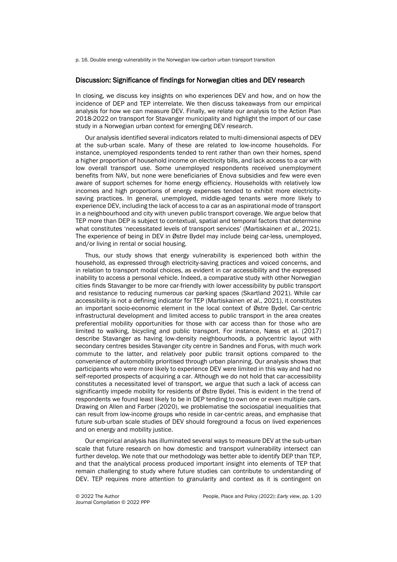p. 16. Double energy vulnerability in the Norwegian low-carbon urban transport transition

#### Discussion: Significance of findings for Norwegian cities and DEV research

In closing, we discuss key insights on who experiences DEV and how, and on how the incidence of DEP and TEP interrelate. We then discuss takeaways from our empirical analysis for how we can measure DEV. Finally, we relate our analysis to the Action Plan 2018-2022 on transport for Stavanger municipality and highlight the import of our case study in a Norwegian urban context for emerging DEV research.

Our analysis identified several indicators related to multi-dimensional aspects of DEV at the sub-urban scale. Many of these are related to low-income households. For instance, unemployed respondents tended to rent rather than own their homes, spend a higher proportion of household income on electricity bills, and lack access to a car with low overall transport use. Some unemployed respondents received unemployment benefits from NAV, but none were beneficiaries of Enova subsidies and few were even aware of support schemes for home energy efficiency. Households with relatively low incomes and high proportions of energy expenses tended to exhibit more electricitysaving practices. In general, unemployed, middle-aged tenants were more likely to experience DEV, including the lack of access to a car as an aspirational mode of transport in a neighbourhood and city with uneven public transport coverage. We argue below that TEP more than DEP is subject to contextual, spatial and temporal factors that determine what constitutes 'necessitated levels of transport services' (Martiskainen *et al*., 2021). The experience of being in DEV in Østre Bydel may include being car-less, unemployed, and/or living in rental or social housing.

Thus, our study shows that energy vulnerability is experienced both within the household, as expressed through electricity-saving practices and voiced concerns, and in relation to transport modal choices, as evident in car accessibility and the expressed inability to access a personal vehicle. Indeed, a comparative study with other Norwegian cities finds Stavanger to be more car-friendly with lower accessibility by public transport and resistance to reducing numerous car parking spaces (Skartland 2021). While car accessibility is not a defining indicator for TEP (Martiskainen *et al*., 2021), it constitutes an important socio-economic element in the local context of Østre Bydel. Car-centric infrastructural development and limited access to public transport in the area creates preferential mobility opportunities for those with car access than for those who are limited to walking, bicycling and public transport. For instance, Næss et al. (2017) describe Stavanger as having low-density neighbourhoods, a polycentric layout with secondary centres besides Stavanger city centre in Sandnes and Forus, with much work commute to the latter, and relatively poor public transit options compared to the convenience of automobility prioritised through urban planning. Our analysis shows that participants who were more likely to experience DEV were limited in this way and had no self-reported prospects of acquiring a car. Although we do not hold that car-accessibility constitutes a necessitated level of transport, we argue that such a lack of access can significantly impede mobility for residents of Østre Bydel. This is evident in the trend of respondents we found least likely to be in DEP tending to own one or even multiple cars. Drawing on Allen and Farber (2020), we problematise the sociospatial inequalities that can result from low-income groups who reside in car-centric areas, and emphasise that future sub-urban scale studies of DEV should foreground a focus on lived experiences and on energy and mobility justice.

Our empirical analysis has illuminated several ways to measure DEV at the sub-urban scale that future research on how domestic and transport vulnerability intersect can further develop. We note that our methodology was better able to identify DEP than TEP, and that the analytical process produced important insight into elements of TEP that remain challenging to study where future studies can contribute to understanding of DEV. TEP requires more attention to granularity and context as it is contingent on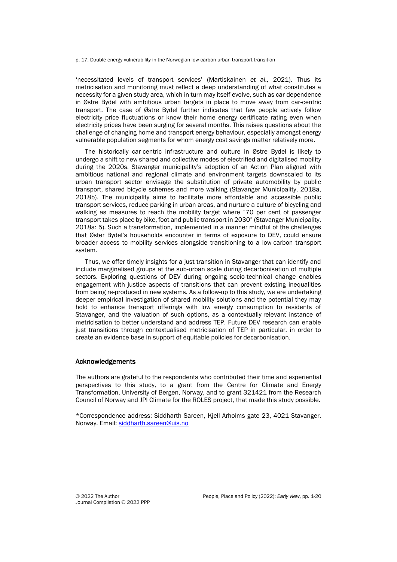p. 17. Double energy vulnerability in the Norwegian low-carbon urban transport transition

'necessitated levels of transport services' (Martiskainen *et al.,* 2021). Thus its metricisation and monitoring must reflect a deep understanding of what constitutes a necessity for a given study area, which in turn may itself evolve, such as car-dependence in Østre Bydel with ambitious urban targets in place to move away from car-centric transport. The case of Østre Bydel further indicates that few people actively follow electricity price fluctuations or know their home energy certificate rating even when electricity prices have been surging for several months. This raises questions about the challenge of changing home and transport energy behaviour, especially amongst energy vulnerable population segments for whom energy cost savings matter relatively more.

The historically car-centric infrastructure and culture in Østre Bydel is likely to undergo a shift to new shared and collective modes of electrified and digitalised mobility during the 2020s. Stavanger municipality's adoption of an Action Plan aligned with ambitious national and regional climate and environment targets downscaled to its urban transport sector envisage the substitution of private automobility by public transport, shared bicycle schemes and more walking (Stavanger Municipality, 2018a, 2018b). The municipality aims to facilitate more affordable and accessible public transport services, reduce parking in urban areas, and nurture a culture of bicycling and walking as measures to reach the mobility target where "70 per cent of passenger transport takes place by bike, foot and public transport in 2030" (Stavanger Municipality, 2018a: 5). Such a transformation, implemented in a manner mindful of the challenges that Øster Bydel's households encounter in terms of exposure to DEV, could ensure broader access to mobility services alongside transitioning to a low-carbon transport system.

Thus, we offer timely insights for a just transition in Stavanger that can identify and include marginalised groups at the sub-urban scale during decarbonisation of multiple sectors. Exploring questions of DEV during ongoing socio-technical change enables engagement with justice aspects of transitions that can prevent existing inequalities from being re-produced in new systems. As a follow-up to this study, we are undertaking deeper empirical investigation of shared mobility solutions and the potential they may hold to enhance transport offerings with low energy consumption to residents of Stavanger, and the valuation of such options, as a contextually-relevant instance of metricisation to better understand and address TEP. Future DEV research can enable just transitions through contextualised metricisation of TEP in particular, in order to create an evidence base in support of equitable policies for decarbonisation.

#### Acknowledgements

The authors are grateful to the respondents who contributed their time and experiential perspectives to this study, to a grant from the Centre for Climate and Energy Transformation, University of Bergen, Norway, and to grant 321421 from the Research Council of Norway and JPI Climate for the ROLES project, that made this study possible.

\*Correspondence address: Siddharth Sareen, Kjell Arholms gate 23, 4021 Stavanger, Norway. Email: [siddharth.sareen@uis.no](mailto:siddharth.sareen@uis.no)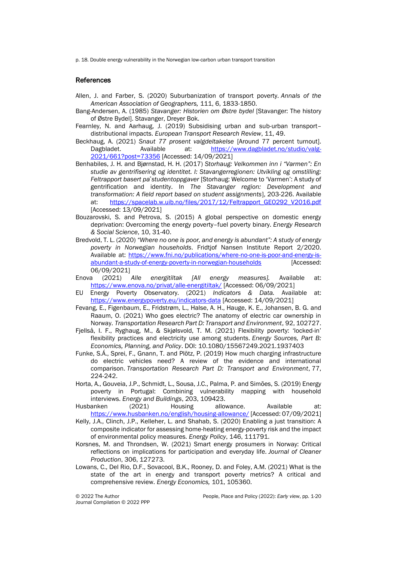p. 18. Double energy vulnerability in the Norwegian low-carbon urban transport transition

### References

- Allen, J. and Farber, S. (2020) Suburbanization of transport poverty. *Annals of the American Association of Geographers,* 111, 6, 1833-1850.
- Bang-Andersen, A. (1985) *Stavanger: Historien om Østre bydel* [Stavanger: The history of Østre Bydel]. Stavanger, Dreyer Bok.
- Fearnley, N. and Aarhaug, J. (2019) Subsidising urban and sub-urban transport– distributional impacts. *European Transport Research Review*, 11, 49.
- Beckhaug, A. (2021) *Snaut 77 prosent valgdeltakelse* [Around 77 percent turnout]. Dagbladet. Available at: [https://www.dagbladet.no/studio/valg-](https://www.dagbladet.no/studio/valg-2021/661?post=73356)[2021/661?post=73356](https://www.dagbladet.no/studio/valg-2021/661?post=73356) [Accessed: 14/09/2021]
- Benhabiles, J. H. and Bjørnstad, H. H. (2017) *Storhaug: Velkommen inn i "Varmen": En studie av gentrifisering og identitet. I: Stavangerregionen: Utvikling og omstilling: Feltrapport basert påstudentoppgaver* [Storhaug: Welcome to 'Varmen': A study of gentrification and identity. In *The Stavanger region: Development and transformation: A field report based on student assignments*], 203-226. Available at: [https://spacelab.w.uib.no/files/2017/12/Feltrapport\\_GEO292\\_V2016.pdf](https://spacelab.w.uib.no/files/2017/12/Feltrapport_GEO292_V2016.pdf) [Accessed: 13/09/2021]
- Bouzarovski, S. and Petrova, S. (2015) A global perspective on domestic energy deprivation: Overcoming the energy poverty–fuel poverty binary. *Energy Research & Social Science*, 10, 31-40.
- Bredvold, T. L. (2020) *"Where no one is poor, and energy is abundant": A study of energy poverty in Norwegian households*. Fridtjof Nansen Institute Report 2/2020. Available at: [https://www.fni.no/publications/where-no-one-is-poor-and-energy-is](https://www.fni.no/publications/where-no-one-is-poor-and-energy-is-abundant-a-study-of-energy-poverty-in-norwegian-households)[abundant-a-study-of-energy-poverty-in-norwegian-households](https://www.fni.no/publications/where-no-one-is-poor-and-energy-is-abundant-a-study-of-energy-poverty-in-norwegian-households) [Accessed: 06/09/2021]
- Enova (2021) *Alle energitiltak [All energy measures].* Available at: <https://www.enova.no/privat/alle-energitiltak/> [Accessed: 06/09/2021]
- EU Energy Poverty Observatory. (2021) *Indicators & Data.* Available at: <https://www.energypoverty.eu/indicators-data> [Accessed: 14/09/2021]
- Fevang, E., Figenbaum, E., Fridstrøm, L., Halse, A. H., Hauge, K. E., Johansen, B. G. and Raaum, O. (2021) Who goes electric? The anatomy of electric car ownership in Norway. *Transportation Research Part D: Transport and Environment*, 92, 102727.
- Fjellså, I. F., Ryghaug, M., & Skjølsvold, T. M. (2021) Flexibility poverty: 'locked-in' flexibility practices and electricity use among students. *Energy Sources, Part B: Economics, Planning, and Policy*. DOI: 10.1080/15567249.2021.1937403
- Funke, S.Á., Sprei, F., Gnann, T. and Plötz, P. (2019) How much charging infrastructure do electric vehicles need? A review of the evidence and international comparison. *Transportation Research Part D: Transport and Environment*, 77, 224-242.
- Horta, A., Gouveia, J.P., Schmidt, L., Sousa, J.C., Palma, P. and Simões, S. (2019) Energy poverty in Portugal: Combining vulnerability mapping with household interviews. *Energy and Buildings*, 203, 109423.

Husbanken (2021) Housing allowance. Available at: <https://www.husbanken.no/english/housing-allowance/> [Accessed: 07/09/2021]

- Kelly, J.A., Clinch, J.P., Kelleher, L. and Shahab, S. (2020) Enabling a just transition: A composite indicator for assessing home-heating energy-poverty risk and the impact of environmental policy measures. *Energy Policy*, 146, 111791.
- Korsnes, M. and Throndsen, W. (2021) Smart energy prosumers in Norway: Critical reflections on implications for participation and everyday life. *Journal of Cleaner Production*, 306, 127273.
- Lowans, C., Del Rio, D.F., Sovacool, B.K., Rooney, D. and Foley, A.M. (2021) What is the state of the art in energy and transport poverty metrics? A critical and comprehensive review. *Energy Economics,* 101, 105360.

Journal Compilation © 2022 PPP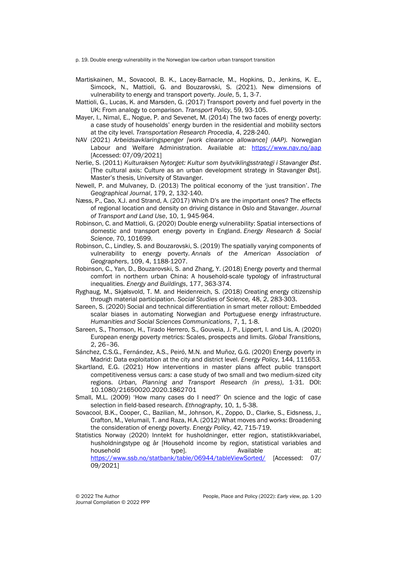p. 19. Double energy vulnerability in the Norwegian low-carbon urban transport transition

- Martiskainen, M., Sovacool, B. K., Lacey-Barnacle, M., Hopkins, D., Jenkins, K. E., Simcock, N., Mattioli, G. and Bouzarovski, S. (2021). New dimensions of vulnerability to energy and transport poverty. *Joule*, 5, 1, 3-7.
- Mattioli, G., Lucas, K. and Marsden, G. (2017) Transport poverty and fuel poverty in the UK: From analogy to comparison. *Transport Policy*, 59, 93-105.
- Mayer, I., Nimal, E., Nogue, P. and Sevenet, M. (2014) The two faces of energy poverty: a case study of households' energy burden in the residential and mobility sectors at the city level. *Transportation Research Procedia*, 4, 228-240.
- NAV (2021) *Arbeidsavklaringspenger [work clearance allowance] (AAP).* Norwegian Labour and Welfare Administration. Available at: <https://www.nav.no/aap> [Accessed: 07/09/2021]
- Nerlie, S. (2011) *Kulturaksen Nytorget: Kultur som byutviklingsstrategi i Stavanger Øst*. [The cultural axis: Culture as an urban development strategy in Stavanger Øst]. Master's thesis, University of Stavanger.
- Newell, P. and Mulvaney, D. (2013) The political economy of the 'just transition'. *The Geographical Journal*, 179, 2, 132-140.
- Næss, P., Cao, X.J. and Strand, A. (2017) Which D's are the important ones? The effects of regional location and density on driving distance in Oslo and Stavanger. *Journal of Transport and Land Use*, 10, 1, 945-964.
- Robinson, C. and Mattioli, G. (2020) Double energy vulnerability: Spatial intersections of domestic and transport energy poverty in England. *Energy Research & Social Science*, 70, 101699.
- Robinson, C., Lindley, S. and Bouzarovski, S. (2019) The spatially varying components of vulnerability to energy poverty. *Annals of the American Association of Geographers*, 109, 4, 1188-1207.
- Robinson, C., Yan, D., Bouzarovski, S. and Zhang, Y. (2018) Energy poverty and thermal comfort in northern urban China: A household-scale typology of infrastructural inequalities. *Energy and Buildings*, 177, 363-374.
- Ryghaug, M., Skjølsvold, T. M. and Heidenreich, S. (2018) Creating energy citizenship through material participation. *Social Studies of Science,* 48, 2, 283-303.
- Sareen, S. (2020) Social and technical differentiation in smart meter rollout: Embedded scalar biases in automating Norwegian and Portuguese energy infrastructure. *Humanities and Social Sciences Communications*, 7, 1, 1-8.
- Sareen, S., Thomson, H., Tirado Herrero, S., Gouveia, J. P., Lippert, I. and Lis, A. (2020) European energy poverty metrics: Scales, prospects and limits. *Global Transitions,*  2, 26–36.
- Sánchez, C.S.G., Fernández, A.S., Peiró, M.N. and Muñoz, G.G. (2020) Energy poverty in Madrid: Data exploitation at the city and district level. *Energy Policy*, 144, 111653.
- Skartland, E.G. (2021) How interventions in master plans affect public transport competitiveness versus cars: a case study of two small and two medium-sized city regions. *Urban, Planning and Transport Research (in press)*, 1-31. DOI: 10.1080/21650020.2020.1862701
- Small, M.L. (2009) 'How many cases do I need?' On science and the logic of case selection in field-based research. *Ethnography*, 10, 1, 5-38.
- Sovacool, B.K., Cooper, C., Bazilian, M., Johnson, K., Zoppo, D., Clarke, S., Eidsness, J., Crafton, M., Velumail, T. and Raza, H.A. (2012) What moves and works: Broadening the consideration of energy poverty. *Energy Policy*, 42, 715-719.
- Statistics Norway (2020) Inntekt for husholdninger, etter region, statistikkvariabel, husholdningstype og år [Household income by region, statistical variables and household type]. Available at: <https://www.ssb.no/statbank/table/06944/tableViewSorted/> [Accessed: 07/ 09/2021]